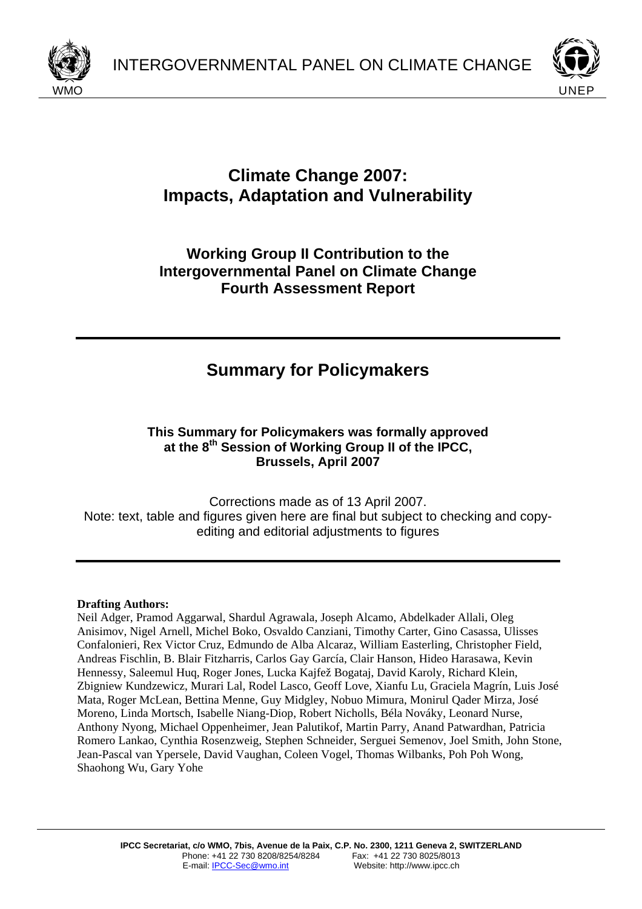



# **Climate Change 2007: Impacts, Adaptation and Vulnerability**

# **Working Group II Contribution to the Intergovernmental Panel on Climate Change Fourth Assessment Report**

# **Summary for Policymakers**

## **This Summary for Policymakers was formally approved at the 8th Session of Working Group II of the IPCC, Brussels, April 2007**

Corrections made as of 13 April 2007. Note: text, table and figures given here are final but subject to checking and copyediting and editorial adjustments to figures

## **Drafting Authors:**

Neil Adger, Pramod Aggarwal, Shardul Agrawala, Joseph Alcamo, Abdelkader Allali, Oleg Anisimov, Nigel Arnell, Michel Boko, Osvaldo Canziani, Timothy Carter, Gino Casassa, Ulisses Confalonieri, Rex Victor Cruz, Edmundo de Alba Alcaraz, William Easterling, Christopher Field, Andreas Fischlin, B. Blair Fitzharris, Carlos Gay García, Clair Hanson, Hideo Harasawa, Kevin Hennessy, Saleemul Huq, Roger Jones, Lucka Kajfež Bogataj, David Karoly, Richard Klein, Zbigniew Kundzewicz, Murari Lal, Rodel Lasco, Geoff Love, Xianfu Lu, Graciela Magrín, Luis José Mata, Roger McLean, Bettina Menne, Guy Midgley, Nobuo Mimura, Monirul Qader Mirza, José Moreno, Linda Mortsch, Isabelle Niang-Diop, Robert Nicholls, Béla Nováky, Leonard Nurse, Anthony Nyong, Michael Oppenheimer, Jean Palutikof, Martin Parry, Anand Patwardhan, Patricia Romero Lankao, Cynthia Rosenzweig, Stephen Schneider, Serguei Semenov, Joel Smith, John Stone, Jean-Pascal van Ypersele, David Vaughan, Coleen Vogel, Thomas Wilbanks, Poh Poh Wong, Shaohong Wu, Gary Yohe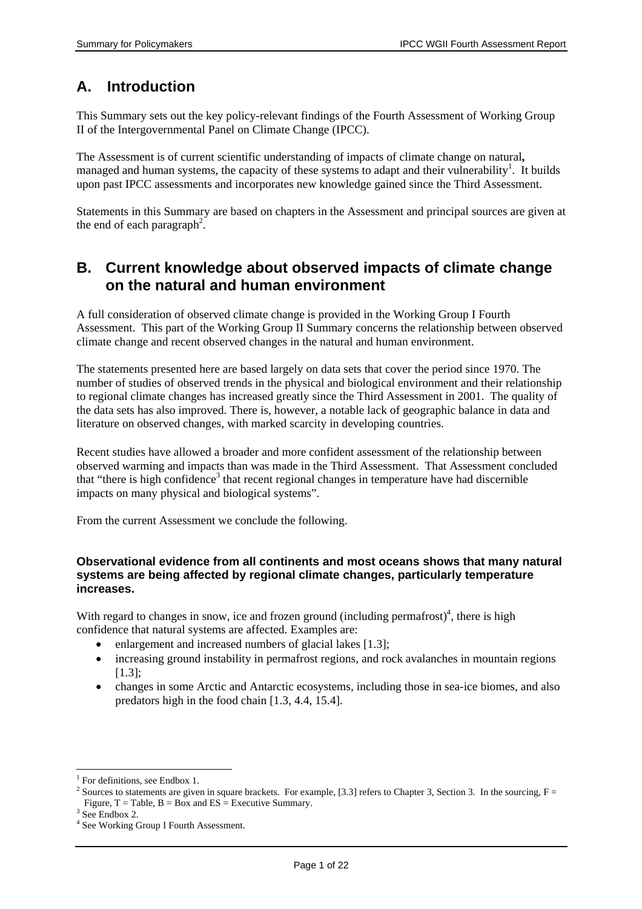# **A. Introduction**

This Summary sets out the key policy-relevant findings of the Fourth Assessment of Working Group II of the Intergovernmental Panel on Climate Change (IPCC).

The Assessment is of current scientific understanding of impacts of climate change on natural**,**  managed and human systems, the capacity of these systems to adapt and their vulnerability<sup>1</sup>. It builds upon past IPCC assessments and incorporates new knowledge gained since the Third Assessment.

Statements in this Summary are based on chapters in the Assessment and principal sources are given at the end of each paragraph<sup>2</sup>.

# **B. Current knowledge about observed impacts of climate change on the natural and human environment**

A full consideration of observed climate change is provided in the Working Group I Fourth Assessment. This part of the Working Group II Summary concerns the relationship between observed climate change and recent observed changes in the natural and human environment.

The statements presented here are based largely on data sets that cover the period since 1970. The number of studies of observed trends in the physical and biological environment and their relationship to regional climate changes has increased greatly since the Third Assessment in 2001. The quality of the data sets has also improved. There is, however, a notable lack of geographic balance in data and literature on observed changes, with marked scarcity in developing countries.

Recent studies have allowed a broader and more confident assessment of the relationship between observed warming and impacts than was made in the Third Assessment. That Assessment concluded that "there is high confidence<sup>3</sup> that recent regional changes in temperature have had discernible impacts on many physical and biological systems".

From the current Assessment we conclude the following.

## **Observational evidence from all continents and most oceans shows that many natural systems are being affected by regional climate changes, particularly temperature increases.**

With regard to changes in snow, ice and frozen ground (including permafrost)<sup>4</sup>, there is high confidence that natural systems are affected. Examples are:

- enlargement and increased numbers of glacial lakes [1.3];
- increasing ground instability in permafrost regions, and rock avalanches in mountain regions [1.3];
- changes in some Arctic and Antarctic ecosystems, including those in sea-ice biomes, and also predators high in the food chain [1.3, 4.4, 15.4].

 $\overline{a}$ 

<sup>&</sup>lt;sup>1</sup> For definitions, see Endbox 1.

<sup>2</sup> Sources to statements are given in square brackets. For example, [3.3] refers to Chapter 3, Section 3. In the sourcing,  $F =$ Figure,  $T = Table$ ,  $B = Box$  and  $ES = Executive$  Summary.

 $3$  See Endbox 2.

<sup>&</sup>lt;sup>4</sup> See Working Group I Fourth Assessment.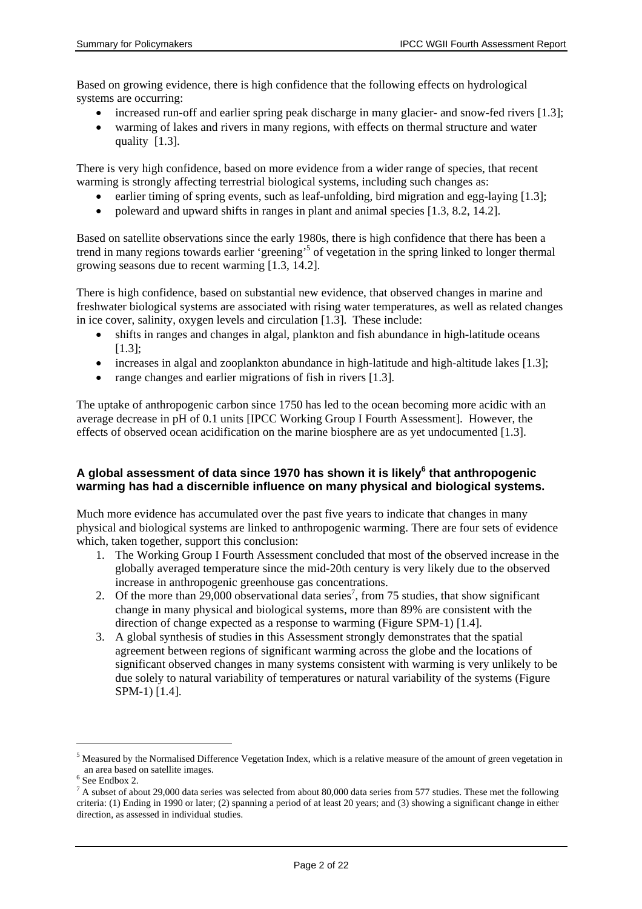Based on growing evidence, there is high confidence that the following effects on hydrological systems are occurring:

- increased run-off and earlier spring peak discharge in many glacier- and snow-fed rivers [1.3];
- warming of lakes and rivers in many regions, with effects on thermal structure and water quality [1.3].

There is very high confidence, based on more evidence from a wider range of species, that recent warming is strongly affecting terrestrial biological systems, including such changes as:

- earlier timing of spring events, such as leaf-unfolding, bird migration and egg-laying [1.3];
- poleward and upward shifts in ranges in plant and animal species [1.3, 8.2, 14.2].

Based on satellite observations since the early 1980s, there is high confidence that there has been a trend in many regions towards earlier 'greening'<sup>5</sup> of vegetation in the spring linked to longer thermal growing seasons due to recent warming [1.3, 14.2].

There is high confidence, based on substantial new evidence, that observed changes in marine and freshwater biological systems are associated with rising water temperatures, as well as related changes in ice cover, salinity, oxygen levels and circulation [1.3]. These include:

- shifts in ranges and changes in algal, plankton and fish abundance in high-latitude oceans [1.3];
- increases in algal and zooplankton abundance in high-latitude and high-altitude lakes [1.3];
- range changes and earlier migrations of fish in rivers [1.3].

The uptake of anthropogenic carbon since 1750 has led to the ocean becoming more acidic with an average decrease in pH of 0.1 units [IPCC Working Group I Fourth Assessment]. However, the effects of observed ocean acidification on the marine biosphere are as yet undocumented [1.3].

## A global assessment of data since 1970 has shown it is likely<sup>6</sup> that anthropogenic **warming has had a discernible influence on many physical and biological systems.**

Much more evidence has accumulated over the past five years to indicate that changes in many physical and biological systems are linked to anthropogenic warming. There are four sets of evidence which, taken together, support this conclusion:

- 1. The Working Group I Fourth Assessment concluded that most of the observed increase in the globally averaged temperature since the mid-20th century is very likely due to the observed increase in anthropogenic greenhouse gas concentrations.
- 2. Of the more than  $29,000$  observational data series<sup>7</sup>, from 75 studies, that show significant change in many physical and biological systems, more than 89% are consistent with the direction of change expected as a response to warming (Figure SPM-1) [1.4].
- 3. A global synthesis of studies in this Assessment strongly demonstrates that the spatial agreement between regions of significant warming across the globe and the locations of significant observed changes in many systems consistent with warming is very unlikely to be due solely to natural variability of temperatures or natural variability of the systems (Figure SPM-1) [1.4].

 $\overline{a}$ 

 $<sup>5</sup>$  Measured by the Normalised Difference Vegetation Index, which is a relative measure of the amount of green vegetation in</sup> an area based on satellite images. 6

 $6$  See Endbox 2.

 $^7$  A subset of about 29,000 data series was selected from about 80,000 data series from 577 studies. These met the following criteria: (1) Ending in 1990 or later; (2) spanning a period of at least 20 years; and (3) showing a significant change in either direction, as assessed in individual studies.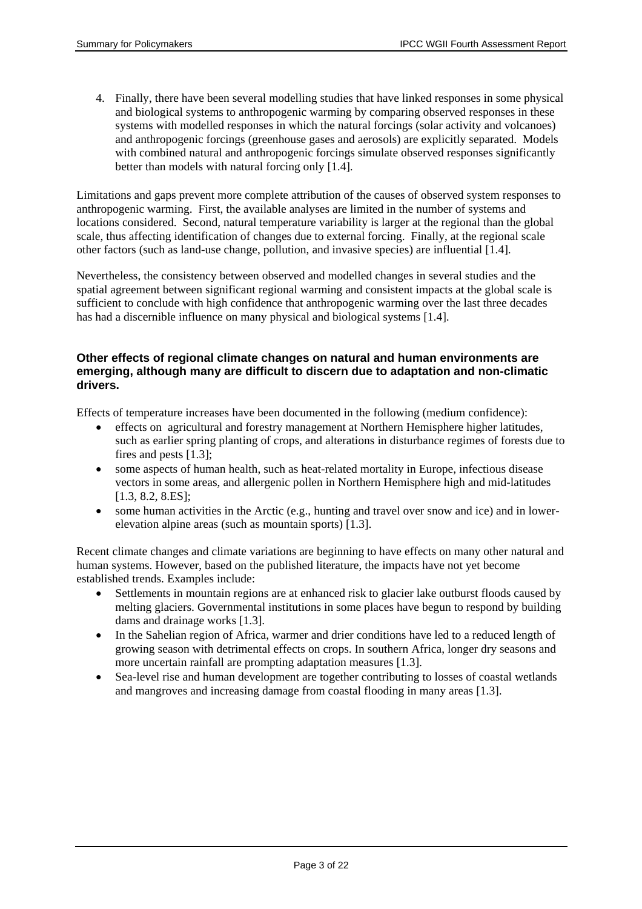4. Finally, there have been several modelling studies that have linked responses in some physical and biological systems to anthropogenic warming by comparing observed responses in these systems with modelled responses in which the natural forcings (solar activity and volcanoes) and anthropogenic forcings (greenhouse gases and aerosols) are explicitly separated. Models with combined natural and anthropogenic forcings simulate observed responses significantly better than models with natural forcing only [1.4].

Limitations and gaps prevent more complete attribution of the causes of observed system responses to anthropogenic warming. First, the available analyses are limited in the number of systems and locations considered. Second, natural temperature variability is larger at the regional than the global scale, thus affecting identification of changes due to external forcing. Finally, at the regional scale other factors (such as land-use change, pollution, and invasive species) are influential [1.4].

Nevertheless, the consistency between observed and modelled changes in several studies and the spatial agreement between significant regional warming and consistent impacts at the global scale is sufficient to conclude with high confidence that anthropogenic warming over the last three decades has had a discernible influence on many physical and biological systems [1.4].

## **Other effects of regional climate changes on natural and human environments are emerging, although many are difficult to discern due to adaptation and non-climatic drivers.**

Effects of temperature increases have been documented in the following (medium confidence):

- effects on agricultural and forestry management at Northern Hemisphere higher latitudes, such as earlier spring planting of crops, and alterations in disturbance regimes of forests due to fires and pests [1.3];
- some aspects of human health, such as heat-related mortality in Europe, infectious disease vectors in some areas, and allergenic pollen in Northern Hemisphere high and mid-latitudes [1.3, 8.2, 8.ES];
- some human activities in the Arctic (e.g., hunting and travel over snow and ice) and in lowerelevation alpine areas (such as mountain sports) [1.3].

Recent climate changes and climate variations are beginning to have effects on many other natural and human systems. However, based on the published literature, the impacts have not yet become established trends. Examples include:

- Settlements in mountain regions are at enhanced risk to glacier lake outburst floods caused by melting glaciers. Governmental institutions in some places have begun to respond by building dams and drainage works [1.3].
- In the Sahelian region of Africa, warmer and drier conditions have led to a reduced length of growing season with detrimental effects on crops. In southern Africa, longer dry seasons and more uncertain rainfall are prompting adaptation measures [1.3].
- Sea-level rise and human development are together contributing to losses of coastal wetlands and mangroves and increasing damage from coastal flooding in many areas [1.3].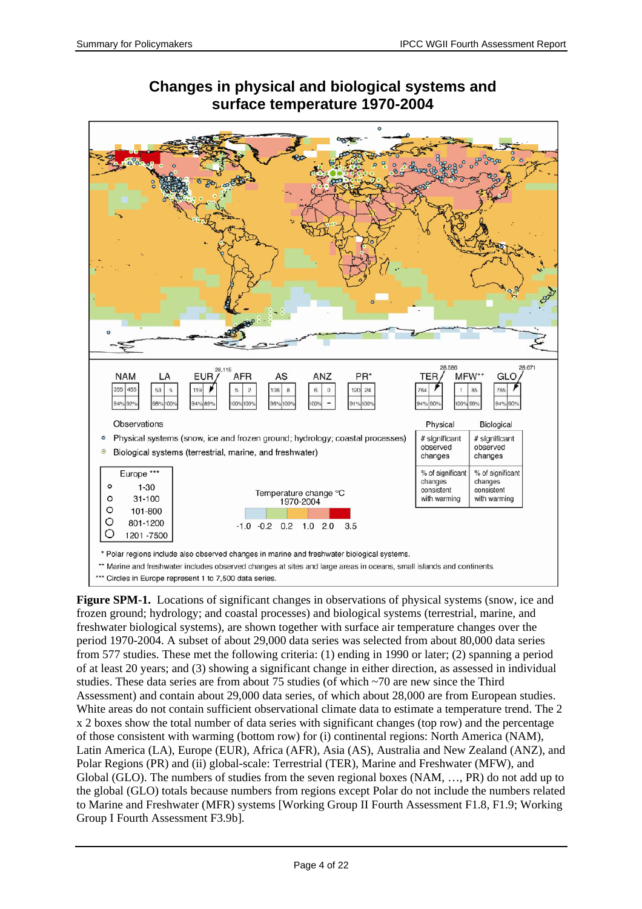

# **Changes in physical and biological systems and surface temperature 1970-2004**

**Figure SPM-1.** Locations of significant changes in observations of physical systems (snow, ice and frozen ground; hydrology; and coastal processes) and biological systems (terrestrial, marine, and freshwater biological systems), are shown together with surface air temperature changes over the period 1970-2004. A subset of about 29,000 data series was selected from about 80,000 data series from 577 studies. These met the following criteria: (1) ending in 1990 or later; (2) spanning a period of at least 20 years; and (3) showing a significant change in either direction, as assessed in individual studies. These data series are from about 75 studies (of which ~70 are new since the Third Assessment) and contain about 29,000 data series, of which about 28,000 are from European studies. White areas do not contain sufficient observational climate data to estimate a temperature trend. The 2 x 2 boxes show the total number of data series with significant changes (top row) and the percentage of those consistent with warming (bottom row) for (i) continental regions: North America (NAM), Latin America (LA), Europe (EUR), Africa (AFR), Asia (AS), Australia and New Zealand (ANZ), and Polar Regions (PR) and (ii) global-scale: Terrestrial (TER), Marine and Freshwater (MFW), and Global (GLO). The numbers of studies from the seven regional boxes (NAM, …, PR) do not add up to the global (GLO) totals because numbers from regions except Polar do not include the numbers related to Marine and Freshwater (MFR) systems [Working Group II Fourth Assessment F1.8, F1.9; Working Group I Fourth Assessment F3.9b].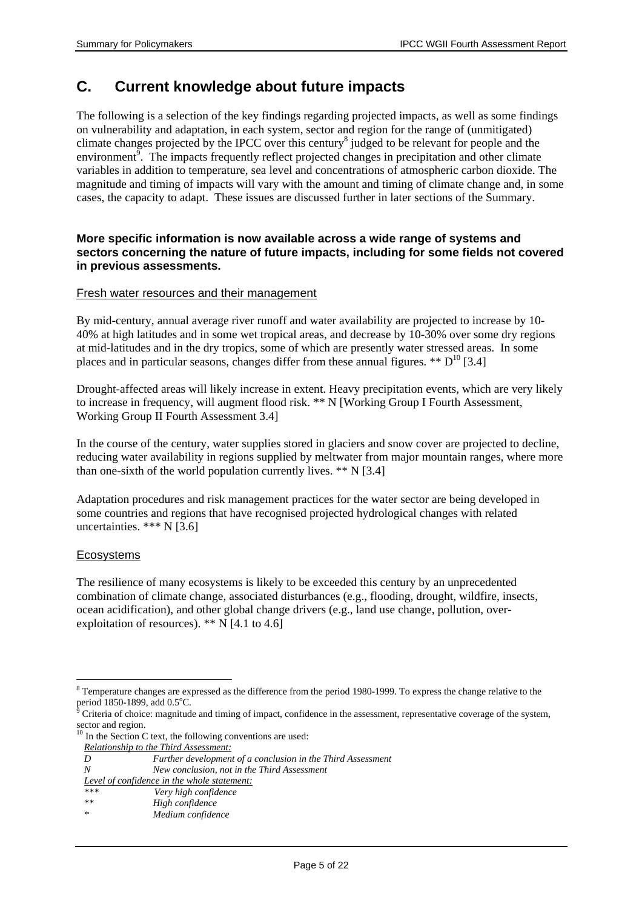## **C. Current knowledge about future impacts**

The following is a selection of the key findings regarding projected impacts, as well as some findings on vulnerability and adaptation, in each system, sector and region for the range of (unmitigated) climate changes projected by the IPCC over this century<sup>8</sup> judged to be relevant for people and the environment<sup>9</sup>. The impacts frequently reflect projected changes in precipitation and other climate variables in addition to temperature, sea level and concentrations of atmospheric carbon dioxide. The magnitude and timing of impacts will vary with the amount and timing of climate change and, in some cases, the capacity to adapt. These issues are discussed further in later sections of the Summary.

## **More specific information is now available across a wide range of systems and sectors concerning the nature of future impacts, including for some fields not covered in previous assessments.**

#### Fresh water resources and their management

By mid-century, annual average river runoff and water availability are projected to increase by 10- 40% at high latitudes and in some wet tropical areas, and decrease by 10-30% over some dry regions at mid-latitudes and in the dry tropics, some of which are presently water stressed areas. In some places and in particular seasons, changes differ from these annual figures. \*\*  $D^{10}$  [3.4]

Drought-affected areas will likely increase in extent. Heavy precipitation events, which are very likely to increase in frequency, will augment flood risk. \*\* N [Working Group I Fourth Assessment, Working Group II Fourth Assessment 3.4]

In the course of the century, water supplies stored in glaciers and snow cover are projected to decline, reducing water availability in regions supplied by meltwater from major mountain ranges, where more than one-sixth of the world population currently lives. \*\* N [3.4]

Adaptation procedures and risk management practices for the water sector are being developed in some countries and regions that have recognised projected hydrological changes with related uncertainties. \*\*\* N [3.6]

#### **Ecosystems**

The resilience of many ecosystems is likely to be exceeded this century by an unprecedented combination of climate change, associated disturbances (e.g., flooding, drought, wildfire, insects, ocean acidification), and other global change drivers (e.g., land use change, pollution, overexploitation of resources).  $**$  N [4.1 to 4.6]

*N New conclusion, not in the Third Assessment* 

 $\overline{a}$  $8$  Temperature changes are expressed as the difference from the period 1980-1999. To express the change relative to the period 1850-1899, add  $0.5^{\circ}$ C.

Criteria of choice: magnitude and timing of impact, confidence in the assessment, representative coverage of the system, sector and region.

 $10$  In the Section C text, the following conventions are used:

*Relationship to the Third Assessment:*

*D Further development of a conclusion in the Third Assessment* 

*Level of confidence in the whole statement:* 

Very high confidence

*<sup>\*\*</sup> High confidence* 

*<sup>\*</sup> Medium confidence*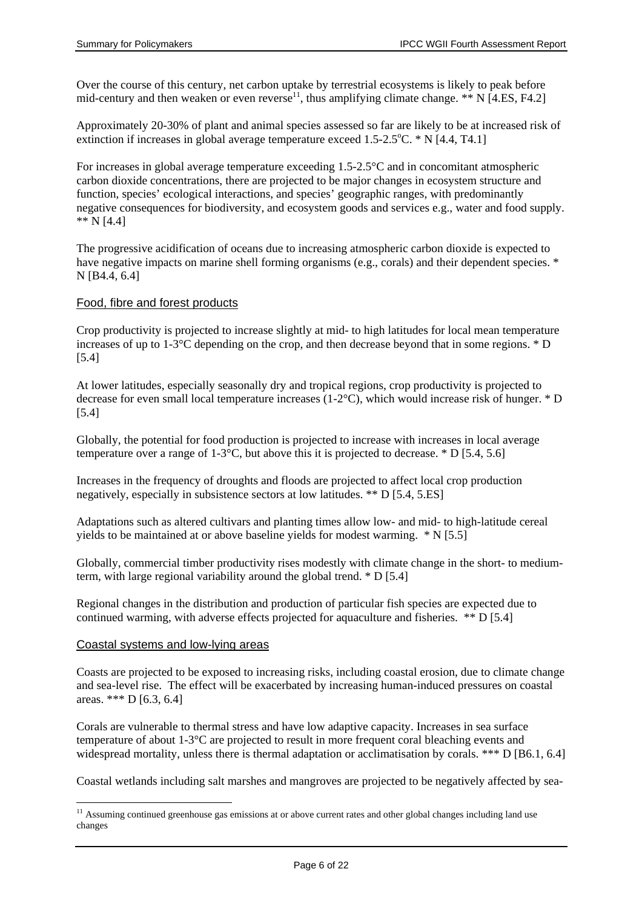Over the course of this century, net carbon uptake by terrestrial ecosystems is likely to peak before mid-century and then weaken or even reverse<sup>11</sup>, thus amplifying climate change. \*\* N [4.ES, F4.2]

Approximately 20-30% of plant and animal species assessed so far are likely to be at increased risk of extinction if increases in global average temperature exceed  $1.5{\text -}2.5^{\circ}\text{C}$ . \* N [4.4, T4.1]

For increases in global average temperature exceeding 1.5-2.5°C and in concomitant atmospheric carbon dioxide concentrations, there are projected to be major changes in ecosystem structure and function, species' ecological interactions, and species' geographic ranges, with predominantly negative consequences for biodiversity, and ecosystem goods and services e.g., water and food supply.  $*$  N [4.4]

The progressive acidification of oceans due to increasing atmospheric carbon dioxide is expected to have negative impacts on marine shell forming organisms (e.g., corals) and their dependent species. \* N [B4.4, 6.4]

## Food, fibre and forest products

Crop productivity is projected to increase slightly at mid- to high latitudes for local mean temperature increases of up to 1-3°C depending on the crop, and then decrease beyond that in some regions. \* D [5.4]

At lower latitudes, especially seasonally dry and tropical regions, crop productivity is projected to decrease for even small local temperature increases (1-2°C), which would increase risk of hunger. \* D [5.4]

Globally, the potential for food production is projected to increase with increases in local average temperature over a range of  $1-3$ °C, but above this it is projected to decrease. \* D [5.4, 5.6]

Increases in the frequency of droughts and floods are projected to affect local crop production negatively, especially in subsistence sectors at low latitudes. \*\* D [5.4, 5.ES]

Adaptations such as altered cultivars and planting times allow low- and mid- to high-latitude cereal yields to be maintained at or above baseline yields for modest warming. \* N [5.5]

Globally, commercial timber productivity rises modestly with climate change in the short- to mediumterm, with large regional variability around the global trend. \* D [5.4]

Regional changes in the distribution and production of particular fish species are expected due to continued warming, with adverse effects projected for aquaculture and fisheries. \*\* D [5.4]

#### Coastal systems and low-lying areas

 $\overline{a}$ 

Coasts are projected to be exposed to increasing risks, including coastal erosion, due to climate change and sea-level rise. The effect will be exacerbated by increasing human-induced pressures on coastal areas. \*\*\* D [6.3, 6.4]

Corals are vulnerable to thermal stress and have low adaptive capacity. Increases in sea surface temperature of about 1-3°C are projected to result in more frequent coral bleaching events and widespread mortality, unless there is thermal adaptation or acclimatisation by corals. \*\*\* D [B6.1, 6.4]

Coastal wetlands including salt marshes and mangroves are projected to be negatively affected by sea-

 $11$  Assuming continued greenhouse gas emissions at or above current rates and other global changes including land use changes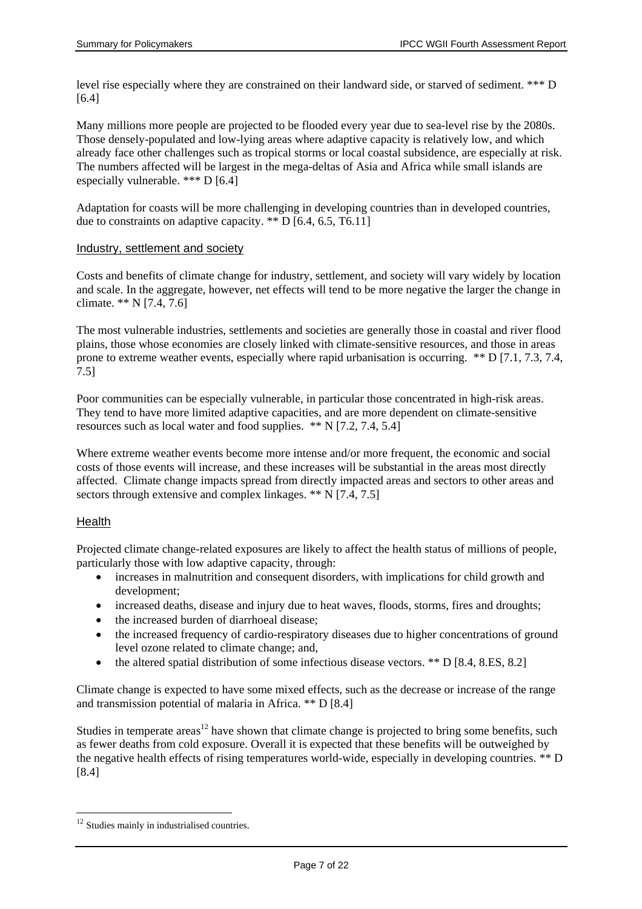level rise especially where they are constrained on their landward side, or starved of sediment. \*\*\* D [6.4]

Many millions more people are projected to be flooded every year due to sea-level rise by the 2080s. Those densely-populated and low-lying areas where adaptive capacity is relatively low, and which already face other challenges such as tropical storms or local coastal subsidence, are especially at risk. The numbers affected will be largest in the mega-deltas of Asia and Africa while small islands are especially vulnerable. \*\*\* D [6.4]

Adaptation for coasts will be more challenging in developing countries than in developed countries, due to constraints on adaptive capacity. \*\* D [6.4, 6.5, T6.11]

#### Industry, settlement and society

Costs and benefits of climate change for industry, settlement, and society will vary widely by location and scale. In the aggregate, however, net effects will tend to be more negative the larger the change in climate. \*\* N  $[7.4, 7.6]$ 

The most vulnerable industries, settlements and societies are generally those in coastal and river flood plains, those whose economies are closely linked with climate-sensitive resources, and those in areas prone to extreme weather events, especially where rapid urbanisation is occurring. \*\* D [7.1, 7.3, 7.4, 7.5]

Poor communities can be especially vulnerable, in particular those concentrated in high-risk areas. They tend to have more limited adaptive capacities, and are more dependent on climate-sensitive resources such as local water and food supplies. \*\* N [7.2, 7.4, 5.4]

Where extreme weather events become more intense and/or more frequent, the economic and social costs of those events will increase, and these increases will be substantial in the areas most directly affected. Climate change impacts spread from directly impacted areas and sectors to other areas and sectors through extensive and complex linkages. \*\* N [7.4, 7.5]

## **Health**

 $\overline{a}$ 

Projected climate change-related exposures are likely to affect the health status of millions of people, particularly those with low adaptive capacity, through:

- increases in malnutrition and consequent disorders, with implications for child growth and development;
- increased deaths, disease and injury due to heat waves, floods, storms, fires and droughts;
- the increased burden of diarrhoeal disease;
- the increased frequency of cardio-respiratory diseases due to higher concentrations of ground level ozone related to climate change; and,
- the altered spatial distribution of some infectious disease vectors.  $**$  D [8.4, 8.ES, 8.2]

Climate change is expected to have some mixed effects, such as the decrease or increase of the range and transmission potential of malaria in Africa. \*\* D [8.4]

Studies in temperate areas<sup>12</sup> have shown that climate change is projected to bring some benefits, such as fewer deaths from cold exposure. Overall it is expected that these benefits will be outweighed by the negative health effects of rising temperatures world-wide, especially in developing countries. \*\* D [8.4]

<sup>&</sup>lt;sup>12</sup> Studies mainly in industrialised countries.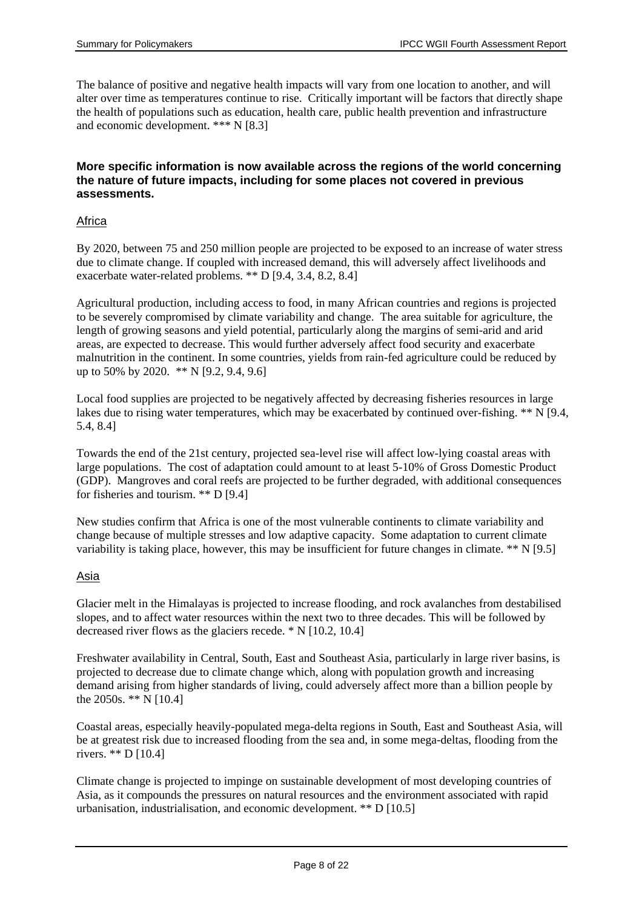The balance of positive and negative health impacts will vary from one location to another, and will alter over time as temperatures continue to rise. Critically important will be factors that directly shape the health of populations such as education, health care, public health prevention and infrastructure and economic development. \*\*\* N [8.3]

## **More specific information is now available across the regions of the world concerning the nature of future impacts, including for some places not covered in previous assessments.**

## Africa

By 2020, between 75 and 250 million people are projected to be exposed to an increase of water stress due to climate change. If coupled with increased demand, this will adversely affect livelihoods and exacerbate water-related problems. \*\* D [9.4, 3.4, 8.2, 8.4]

Agricultural production, including access to food, in many African countries and regions is projected to be severely compromised by climate variability and change. The area suitable for agriculture, the length of growing seasons and yield potential, particularly along the margins of semi-arid and arid areas, are expected to decrease. This would further adversely affect food security and exacerbate malnutrition in the continent. In some countries, yields from rain-fed agriculture could be reduced by up to 50% by 2020. \*\* N [9.2, 9.4, 9.6]

Local food supplies are projected to be negatively affected by decreasing fisheries resources in large lakes due to rising water temperatures, which may be exacerbated by continued over-fishing. \*\* N [9.4,] 5.4, 8.4]

Towards the end of the 21st century, projected sea-level rise will affect low-lying coastal areas with large populations. The cost of adaptation could amount to at least 5-10% of Gross Domestic Product (GDP). Mangroves and coral reefs are projected to be further degraded, with additional consequences for fisheries and tourism. \*\* D [9.4]

New studies confirm that Africa is one of the most vulnerable continents to climate variability and change because of multiple stresses and low adaptive capacity. Some adaptation to current climate variability is taking place, however, this may be insufficient for future changes in climate. \*\* N [9.5]

#### Asia

Glacier melt in the Himalayas is projected to increase flooding, and rock avalanches from destabilised slopes, and to affect water resources within the next two to three decades. This will be followed by decreased river flows as the glaciers recede. \* N [10.2, 10.4]

Freshwater availability in Central, South, East and Southeast Asia, particularly in large river basins, is projected to decrease due to climate change which, along with population growth and increasing demand arising from higher standards of living, could adversely affect more than a billion people by the 2050s. \*\* N [10.4]

Coastal areas, especially heavily-populated mega-delta regions in South, East and Southeast Asia, will be at greatest risk due to increased flooding from the sea and, in some mega-deltas, flooding from the rivers. \*\* D [10.4]

Climate change is projected to impinge on sustainable development of most developing countries of Asia, as it compounds the pressures on natural resources and the environment associated with rapid urbanisation, industrialisation, and economic development. \*\* D [10.5]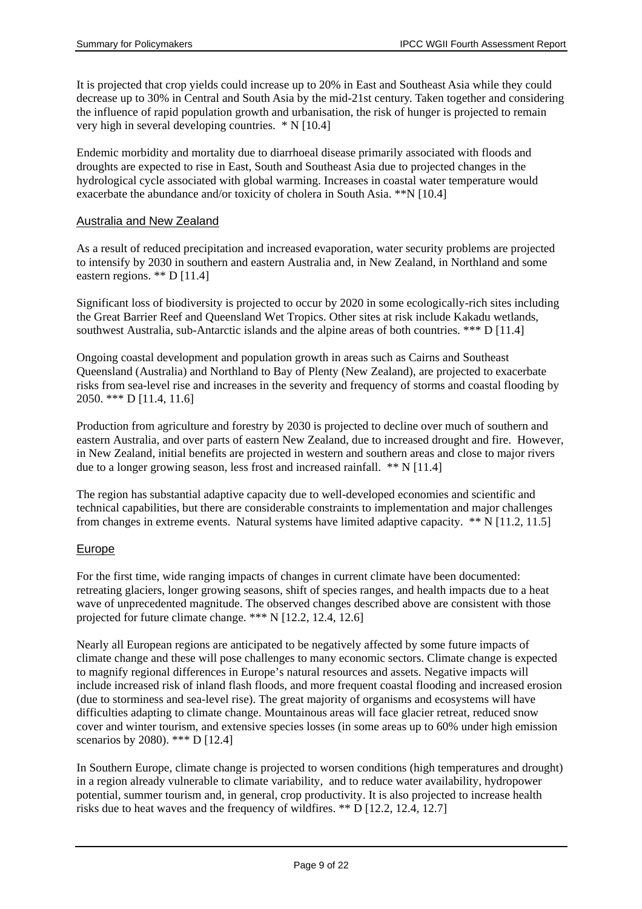It is projected that crop yields could increase up to 20% in East and Southeast Asia while they could decrease up to 30% in Central and South Asia by the mid-21st century. Taken together and considering the influence of rapid population growth and urbanisation, the risk of hunger is projected to remain very high in several developing countries. \* N [10.4]

Endemic morbidity and mortality due to diarrhoeal disease primarily associated with floods and droughts are expected to rise in East, South and Southeast Asia due to projected changes in the hydrological cycle associated with global warming. Increases in coastal water temperature would exacerbate the abundance and/or toxicity of cholera in South Asia. \*\*N [10.4]

## Australia and New Zealand

As a result of reduced precipitation and increased evaporation, water security problems are projected to intensify by 2030 in southern and eastern Australia and, in New Zealand, in Northland and some eastern regions. \*\* D [11.4]

Significant loss of biodiversity is projected to occur by 2020 in some ecologically-rich sites including the Great Barrier Reef and Queensland Wet Tropics. Other sites at risk include Kakadu wetlands, southwest Australia, sub-Antarctic islands and the alpine areas of both countries. \*\*\* D [11.4]

Ongoing coastal development and population growth in areas such as Cairns and Southeast Queensland (Australia) and Northland to Bay of Plenty (New Zealand), are projected to exacerbate risks from sea-level rise and increases in the severity and frequency of storms and coastal flooding by 2050. \*\*\* D [11.4, 11.6]

Production from agriculture and forestry by 2030 is projected to decline over much of southern and eastern Australia, and over parts of eastern New Zealand, due to increased drought and fire. However, in New Zealand, initial benefits are projected in western and southern areas and close to major rivers due to a longer growing season, less frost and increased rainfall. \*\* N [11.4]

The region has substantial adaptive capacity due to well-developed economies and scientific and technical capabilities, but there are considerable constraints to implementation and major challenges from changes in extreme events. Natural systems have limited adaptive capacity. \*\* N [11.2, 11.5]

## Europe

For the first time, wide ranging impacts of changes in current climate have been documented: retreating glaciers, longer growing seasons, shift of species ranges, and health impacts due to a heat wave of unprecedented magnitude. The observed changes described above are consistent with those projected for future climate change. \*\*\* N [12.2, 12.4, 12.6]

Nearly all European regions are anticipated to be negatively affected by some future impacts of climate change and these will pose challenges to many economic sectors. Climate change is expected to magnify regional differences in Europe's natural resources and assets. Negative impacts will include increased risk of inland flash floods, and more frequent coastal flooding and increased erosion (due to storminess and sea-level rise). The great majority of organisms and ecosystems will have difficulties adapting to climate change. Mountainous areas will face glacier retreat, reduced snow cover and winter tourism, and extensive species losses (in some areas up to 60% under high emission scenarios by 2080). \*\*\* D [12.4]

In Southern Europe, climate change is projected to worsen conditions (high temperatures and drought) in a region already vulnerable to climate variability, and to reduce water availability, hydropower potential, summer tourism and, in general, crop productivity. It is also projected to increase health risks due to heat waves and the frequency of wildfires. \*\* D [12.2, 12.4, 12.7]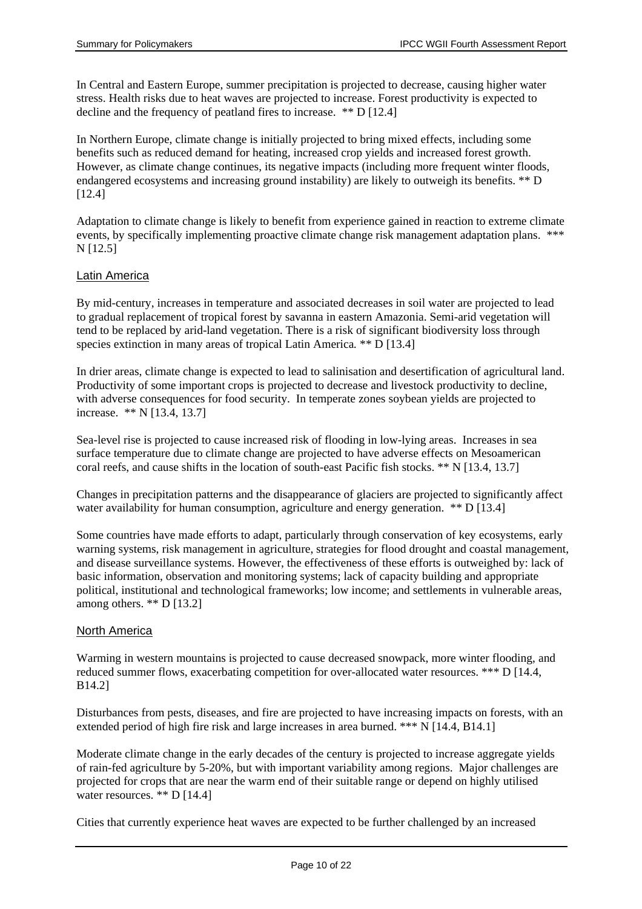In Central and Eastern Europe, summer precipitation is projected to decrease, causing higher water stress. Health risks due to heat waves are projected to increase. Forest productivity is expected to decline and the frequency of peatland fires to increase. \*\* D [12.4]

In Northern Europe, climate change is initially projected to bring mixed effects, including some benefits such as reduced demand for heating, increased crop yields and increased forest growth. However, as climate change continues, its negative impacts (including more frequent winter floods, endangered ecosystems and increasing ground instability) are likely to outweigh its benefits. \*\* D [12.4]

Adaptation to climate change is likely to benefit from experience gained in reaction to extreme climate events, by specifically implementing proactive climate change risk management adaptation plans. \*\*\* N [12.5]

## Latin America

By mid-century, increases in temperature and associated decreases in soil water are projected to lead to gradual replacement of tropical forest by savanna in eastern Amazonia. Semi-arid vegetation will tend to be replaced by arid-land vegetation. There is a risk of significant biodiversity loss through species extinction in many areas of tropical Latin America*.* \*\* D [13.4]

In drier areas, climate change is expected to lead to salinisation and desertification of agricultural land. Productivity of some important crops is projected to decrease and livestock productivity to decline, with adverse consequences for food security. In temperate zones soybean yields are projected to increase. \*\* N [13.4, 13.7]

Sea-level rise is projected to cause increased risk of flooding in low-lying areas. Increases in sea surface temperature due to climate change are projected to have adverse effects on Mesoamerican coral reefs, and cause shifts in the location of south-east Pacific fish stocks. \*\* N [13.4, 13.7]

Changes in precipitation patterns and the disappearance of glaciers are projected to significantly affect water availability for human consumption, agriculture and energy generation. \*\* D [13.4]

Some countries have made efforts to adapt, particularly through conservation of key ecosystems, early warning systems, risk management in agriculture, strategies for flood drought and coastal management, and disease surveillance systems. However, the effectiveness of these efforts is outweighed by: lack of basic information, observation and monitoring systems; lack of capacity building and appropriate political, institutional and technological frameworks; low income; and settlements in vulnerable areas, among others. \*\* D [13.2]

#### North America

Warming in western mountains is projected to cause decreased snowpack, more winter flooding, and reduced summer flows, exacerbating competition for over-allocated water resources. \*\*\* D [14.4, B14.2]

Disturbances from pests, diseases, and fire are projected to have increasing impacts on forests, with an extended period of high fire risk and large increases in area burned. \*\*\* N [14.4, B14.1]

Moderate climate change in the early decades of the century is projected to increase aggregate yields of rain-fed agriculture by 5-20%, but with important variability among regions. Major challenges are projected for crops that are near the warm end of their suitable range or depend on highly utilised water resources. \*\* D [14.4]

Cities that currently experience heat waves are expected to be further challenged by an increased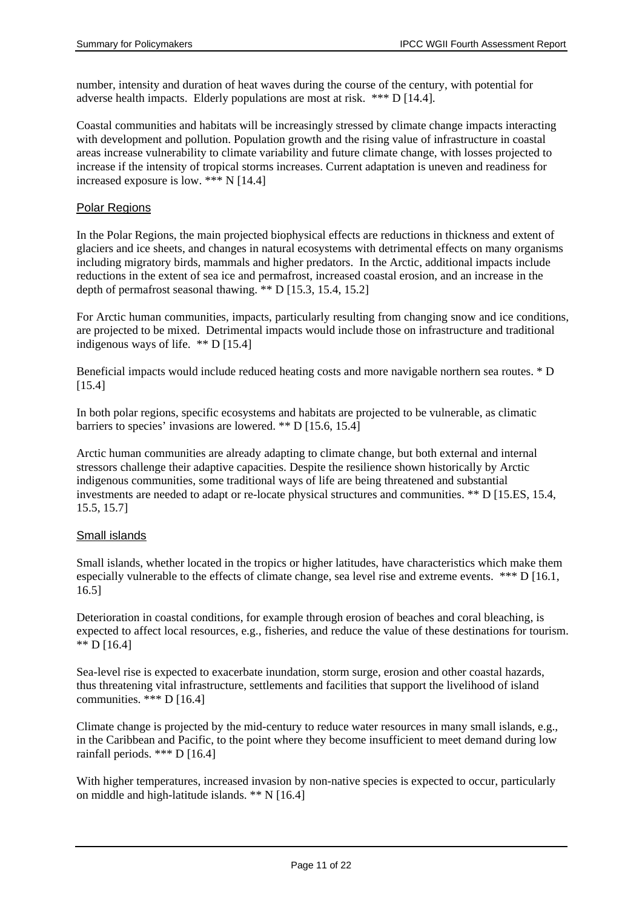number, intensity and duration of heat waves during the course of the century, with potential for adverse health impacts. Elderly populations are most at risk. \*\*\* D [14.4].

Coastal communities and habitats will be increasingly stressed by climate change impacts interacting with development and pollution. Population growth and the rising value of infrastructure in coastal areas increase vulnerability to climate variability and future climate change, with losses projected to increase if the intensity of tropical storms increases. Current adaptation is uneven and readiness for increased exposure is low. \*\*\* N [14.4]

## Polar Regions

In the Polar Regions, the main projected biophysical effects are reductions in thickness and extent of glaciers and ice sheets, and changes in natural ecosystems with detrimental effects on many organisms including migratory birds, mammals and higher predators. In the Arctic, additional impacts include reductions in the extent of sea ice and permafrost, increased coastal erosion, and an increase in the depth of permafrost seasonal thawing. \*\* D [15.3, 15.4, 15.2]

For Arctic human communities, impacts, particularly resulting from changing snow and ice conditions, are projected to be mixed. Detrimental impacts would include those on infrastructure and traditional indigenous ways of life. \*\* D [15.4]

Beneficial impacts would include reduced heating costs and more navigable northern sea routes. \* D [15.4]

In both polar regions, specific ecosystems and habitats are projected to be vulnerable, as climatic barriers to species' invasions are lowered. \*\* D [15.6, 15.4]

Arctic human communities are already adapting to climate change, but both external and internal stressors challenge their adaptive capacities. Despite the resilience shown historically by Arctic indigenous communities, some traditional ways of life are being threatened and substantial investments are needed to adapt or re-locate physical structures and communities. \*\* D [15.ES, 15.4, 15.5, 15.7]

#### Small islands

Small islands, whether located in the tropics or higher latitudes, have characteristics which make them especially vulnerable to the effects of climate change, sea level rise and extreme events. \*\*\* D [16.1, 16.5]

Deterioration in coastal conditions, for example through erosion of beaches and coral bleaching, is expected to affect local resources, e.g., fisheries, and reduce the value of these destinations for tourism.  $*$  D [16.4]

Sea-level rise is expected to exacerbate inundation, storm surge, erosion and other coastal hazards, thus threatening vital infrastructure, settlements and facilities that support the livelihood of island communities. \*\*\* D [16.4]

Climate change is projected by the mid-century to reduce water resources in many small islands, e.g., in the Caribbean and Pacific, to the point where they become insufficient to meet demand during low rainfall periods. \*\*\* D [16.4]

With higher temperatures, increased invasion by non-native species is expected to occur, particularly on middle and high-latitude islands. \*\* N [16.4]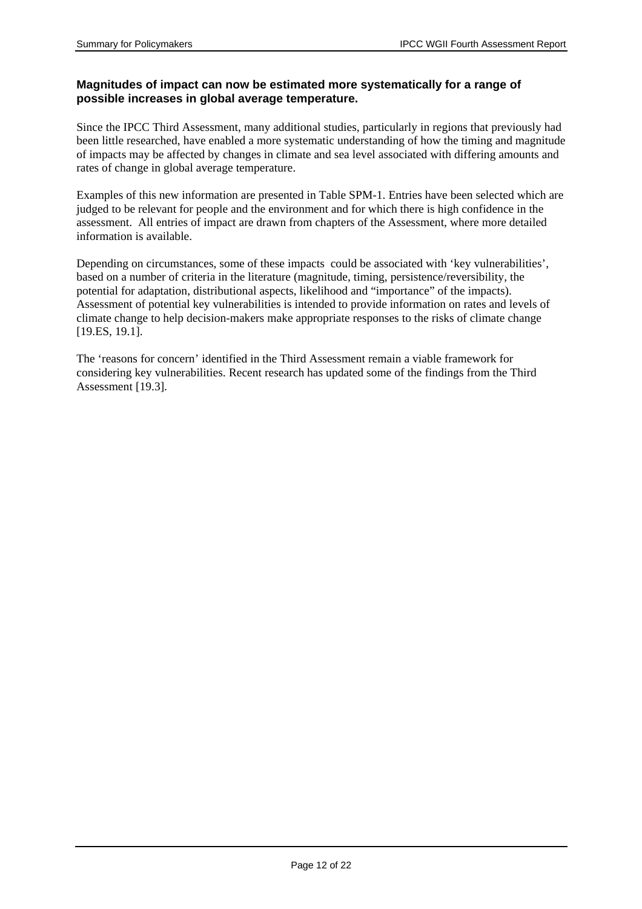## **Magnitudes of impact can now be estimated more systematically for a range of possible increases in global average temperature.**

Since the IPCC Third Assessment, many additional studies, particularly in regions that previously had been little researched, have enabled a more systematic understanding of how the timing and magnitude of impacts may be affected by changes in climate and sea level associated with differing amounts and rates of change in global average temperature.

Examples of this new information are presented in Table SPM-1. Entries have been selected which are judged to be relevant for people and the environment and for which there is high confidence in the assessment. All entries of impact are drawn from chapters of the Assessment, where more detailed information is available.

Depending on circumstances, some of these impacts could be associated with 'key vulnerabilities', based on a number of criteria in the literature (magnitude, timing, persistence/reversibility, the potential for adaptation, distributional aspects, likelihood and "importance" of the impacts). Assessment of potential key vulnerabilities is intended to provide information on rates and levels of climate change to help decision-makers make appropriate responses to the risks of climate change [19.ES, 19.1].

The 'reasons for concern' identified in the Third Assessment remain a viable framework for considering key vulnerabilities. Recent research has updated some of the findings from the Third Assessment [19.3].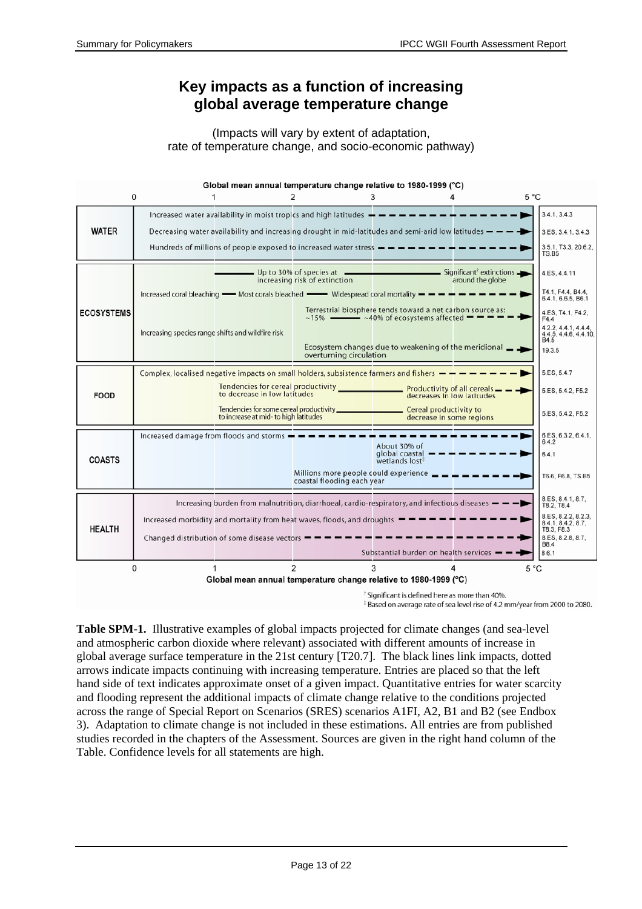# **Key impacts as a function of increasing global average temperature change**

(Impacts will vary by extent of adaptation, rate of temperature change, and socio-economic pathway)

| Global mean annual temperature change relative to 1980-1999 (°C) |                                                   |                                                                                                  |                                |                                                                                                                                                         |                  |                                         |
|------------------------------------------------------------------|---------------------------------------------------|--------------------------------------------------------------------------------------------------|--------------------------------|---------------------------------------------------------------------------------------------------------------------------------------------------------|------------------|-----------------------------------------|
|                                                                  | 0                                                 | $\mathfrak{p}$                                                                                   |                                |                                                                                                                                                         |                  | $5^{\circ}$ C                           |
|                                                                  |                                                   | Increased water availability in moist tropics and high latitudes $\frac{1}{1}$ = $\frac{1}{1}$ = |                                |                                                                                                                                                         |                  | 3.4.1, 3.4.3                            |
| <b>WATER</b>                                                     |                                                   |                                                                                                  |                                | Decreasing water availability and increasing drought in mid-latitudes and semi-arid low latitudes $-\rightarrow$ $-$                                    |                  | 3.ES, 3.4.1, 3.4.3                      |
|                                                                  |                                                   |                                                                                                  |                                |                                                                                                                                                         |                  |                                         |
|                                                                  |                                                   |                                                                                                  |                                |                                                                                                                                                         |                  | 3.5.1, T3.3, 20.6.2, TS.B5              |
|                                                                  |                                                   |                                                                                                  | Up to 30% of species at ______ | Significant <sup>†</sup> extinctions                                                                                                                    |                  | 4.ES. 4.4.11                            |
|                                                                  |                                                   |                                                                                                  | increasing risk of extinction  |                                                                                                                                                         | around the globe |                                         |
|                                                                  |                                                   |                                                                                                  |                                | Increased coral bleaching - Most corals bleached - Widespread coral mortality - - - - - -                                                               |                  | T4.1, F4.4, B4.4,<br>6.4.1, 6.6.5, B6.1 |
| <b>ECOSYSTEMS</b>                                                |                                                   |                                                                                                  |                                | Terrestrial biosphere tends toward a net carbon source as:<br>$\sim$ 15% $\longrightarrow$ $\sim$ 40% of ecosystems affected $\equiv$ $\equiv$ $\equiv$ |                  | 4.ES. T4.1. F4.2.                       |
|                                                                  | Increasing species range shifts and wildfire risk |                                                                                                  |                                |                                                                                                                                                         |                  | F4.4<br>4.2.2, 4.4.1, 4.4.4,            |
|                                                                  |                                                   |                                                                                                  |                                |                                                                                                                                                         |                  | 4.4.5, 4.4.6, 4.4.10,<br>B4.5           |
|                                                                  |                                                   |                                                                                                  | overturning circulation        | Ecosystem changes due to weakening of the meridional $\equiv$                                                                                           |                  | 19.3.5                                  |
|                                                                  |                                                   |                                                                                                  |                                | Complex, localised negative impacts on small holders, subsistence farmers and fishers $-$                                                               |                  | 5.ES, 5.4.7                             |
|                                                                  |                                                   |                                                                                                  |                                |                                                                                                                                                         |                  |                                         |
| <b>FOOD</b>                                                      |                                                   |                                                                                                  |                                | Tendencies for cereal productivity<br>to decrease in low latitudes<br>to decrease in low latitudes<br>decreases in low latitudes                        |                  | 5.ES, 5.4.2, F5.2                       |
|                                                                  |                                                   | to increase at mid- to high latitudes                                                            |                                | decrease in some regions                                                                                                                                |                  | 5.ES, 5.4.2, F5.2                       |
|                                                                  |                                                   |                                                                                                  |                                |                                                                                                                                                         |                  |                                         |
|                                                                  |                                                   | Increased damage from floods and storms $\frac{1}{1}$ = $\frac{1}{1}$ = $\frac{1}{1}$ =          |                                | --------<br>About 30% of                                                                                                                                |                  | 6.ES, 6.3.2, 6.4.1,<br>6.4.2            |
| <b>COASTS</b>                                                    |                                                   |                                                                                                  |                                | global coastal<br>wetlands lost                                                                                                                         |                  | 6.4.1                                   |
|                                                                  |                                                   |                                                                                                  |                                | Millions more people could experience $\_\_$ $\_\_$ $\_\_$ $\_\_$                                                                                       |                  |                                         |
|                                                                  |                                                   |                                                                                                  | coastal flooding each year     |                                                                                                                                                         |                  | T6.6, F6.8, TS.B5                       |
|                                                                  |                                                   |                                                                                                  |                                | Increasing burden from malnutrition, diarrhoeal, cardio-respiratory, and infectious diseases $\rightarrow -$                                            |                  | 8.ES, 8.4.1, 8.7,                       |
| <b>HEALTH</b>                                                    |                                                   |                                                                                                  |                                |                                                                                                                                                         |                  | T8.2, T8.4<br>8.ES. 8.2.2. 8.2.3.       |
|                                                                  |                                                   | Increased morbidity and mortality from heat waves, floods, and droughts =                        |                                |                                                                                                                                                         |                  | 8.4.1.8.4.2.8.7.<br>T8.3, F8.3          |
|                                                                  |                                                   | Changed distribution of some disease vectors $- -$                                               |                                |                                                                                                                                                         |                  | 8.ES. 8.2.8. 8.7.<br><b>B8.4</b>        |
|                                                                  |                                                   |                                                                                                  |                                | Substantial burden on health services $- -$                                                                                                             |                  | 8.6.1                                   |
|                                                                  | $\Omega$                                          | 1                                                                                                | $\overline{2}$                 |                                                                                                                                                         |                  | $5^{\circ}$ C                           |
| Global mean annual temperature change relative to 1980-1999 (°C) |                                                   |                                                                                                  |                                |                                                                                                                                                         |                  |                                         |
|                                                                  |                                                   |                                                                                                  |                                | $\hat{L}$ Classificate to define displays as assumptions $400$                                                                                          |                  |                                         |

Significant is defined here as more than 40%.

<sup>‡</sup> Based on average rate of sea level rise of 4.2 mm/year from 2000 to 2080.

**Table SPM-1.** Illustrative examples of global impacts projected for climate changes (and sea-level and atmospheric carbon dioxide where relevant) associated with different amounts of increase in global average surface temperature in the 21st century [T20.7]. The black lines link impacts, dotted arrows indicate impacts continuing with increasing temperature. Entries are placed so that the left hand side of text indicates approximate onset of a given impact. Quantitative entries for water scarcity and flooding represent the additional impacts of climate change relative to the conditions projected across the range of Special Report on Scenarios (SRES) scenarios A1FI, A2, B1 and B2 (see Endbox 3). Adaptation to climate change is not included in these estimations. All entries are from published studies recorded in the chapters of the Assessment. Sources are given in the right hand column of the Table. Confidence levels for all statements are high.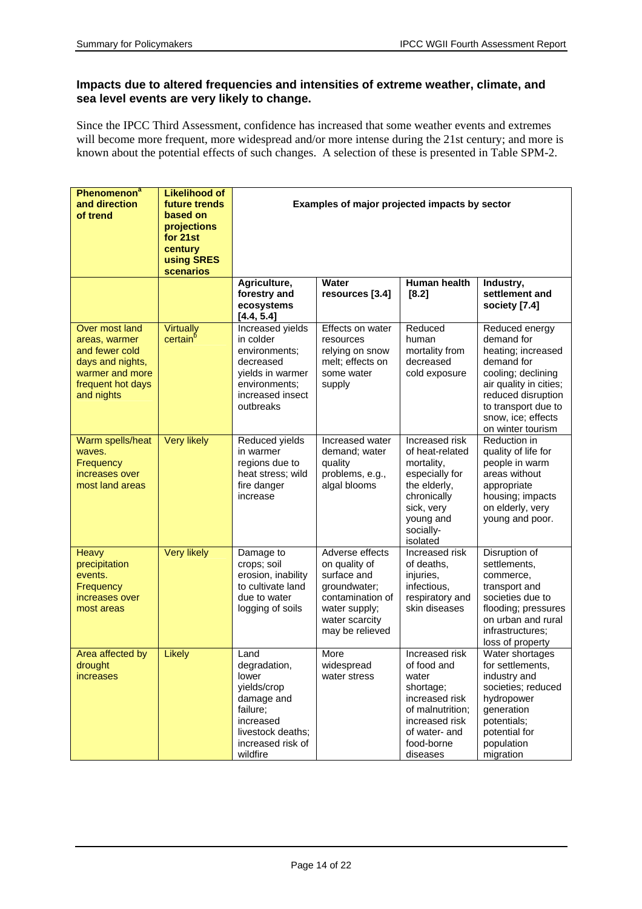## **Impacts due to altered frequencies and intensities of extreme weather, climate, and sea level events are very likely to change.**

Since the IPCC Third Assessment, confidence has increased that some weather events and extremes will become more frequent, more widespread and/or more intense during the 21st century; and more is known about the potential effects of such changes. A selection of these is presented in Table SPM-2.

| Phenomenon <sup>a</sup><br>and direction<br>of trend                                                                        | <b>Likelihood of</b><br><b>future trends</b><br>based on<br>projections<br>for 21st<br>century<br>using SRES<br>scenarios | Examples of major projected impacts by sector                                                                                             |                                                                                                                                           |                                                                                                                                                        |                                                                                                                                                                                                          |
|-----------------------------------------------------------------------------------------------------------------------------|---------------------------------------------------------------------------------------------------------------------------|-------------------------------------------------------------------------------------------------------------------------------------------|-------------------------------------------------------------------------------------------------------------------------------------------|--------------------------------------------------------------------------------------------------------------------------------------------------------|----------------------------------------------------------------------------------------------------------------------------------------------------------------------------------------------------------|
|                                                                                                                             |                                                                                                                           | Agriculture,<br>forestry and<br>ecosystems<br>[4.4, 5.4]                                                                                  | Water<br>resources [3.4]                                                                                                                  | <b>Human health</b><br>[8.2]                                                                                                                           | Industry,<br>settlement and<br>society [7.4]                                                                                                                                                             |
| Over most land<br>areas, warmer<br>and fewer cold<br>days and nights,<br>warmer and more<br>frequent hot days<br>and nights | <b>Virtually</b><br>certain <sup>b</sup>                                                                                  | Increased yields<br>in colder<br>environments:<br>decreased<br>yields in warmer<br>environments:<br>increased insect<br>outbreaks         | Effects on water<br>resources<br>relying on snow<br>melt; effects on<br>some water<br>supply                                              | Reduced<br>human<br>mortality from<br>decreased<br>cold exposure                                                                                       | Reduced energy<br>demand for<br>heating; increased<br>demand for<br>cooling; declining<br>air quality in cities;<br>reduced disruption<br>to transport due to<br>snow, ice; effects<br>on winter tourism |
| Warm spells/heat<br>waves.<br>Frequency<br>increases over<br>most land areas                                                | <b>Very likely</b>                                                                                                        | Reduced yields<br>in warmer<br>regions due to<br>heat stress; wild<br>fire danger<br>increase                                             | Increased water<br>demand; water<br>quality<br>problems, e.g.,<br>algal blooms                                                            | Increased risk<br>of heat-related<br>mortality,<br>especially for<br>the elderly,<br>chronically<br>sick, very<br>young and<br>socially-<br>isolated   | Reduction in<br>quality of life for<br>people in warm<br>areas without<br>appropriate<br>housing; impacts<br>on elderly, very<br>young and poor.                                                         |
| <b>Heavy</b><br>precipitation<br>events.<br>Frequency<br>increases over<br>most areas                                       | <b>Very likely</b>                                                                                                        | Damage to<br>crops; soil<br>erosion, inability<br>to cultivate land<br>due to water<br>logging of soils                                   | Adverse effects<br>on quality of<br>surface and<br>groundwater;<br>contamination of<br>water supply;<br>water scarcity<br>may be relieved | Increased risk<br>of deaths.<br>injuries,<br>infectious,<br>respiratory and<br>skin diseases                                                           | Disruption of<br>settlements,<br>commerce,<br>transport and<br>societies due to<br>flooding; pressures<br>on urban and rural<br>infrastructures:<br>loss of property                                     |
| Area affected by<br>drought<br>increases                                                                                    | Likely                                                                                                                    | Land<br>degradation,<br>lower<br>yields/crop<br>damage and<br>failure;<br>increased<br>livestock deaths;<br>increased risk of<br>wildfire | More<br>widespread<br>water stress                                                                                                        | Increased risk<br>of food and<br>water<br>shortage;<br>increased risk<br>of malnutrition;<br>increased risk<br>of water- and<br>food-borne<br>diseases | Water shortages<br>for settlements,<br>industry and<br>societies; reduced<br>hydropower<br>generation<br>potentials;<br>potential for<br>population<br>migration                                         |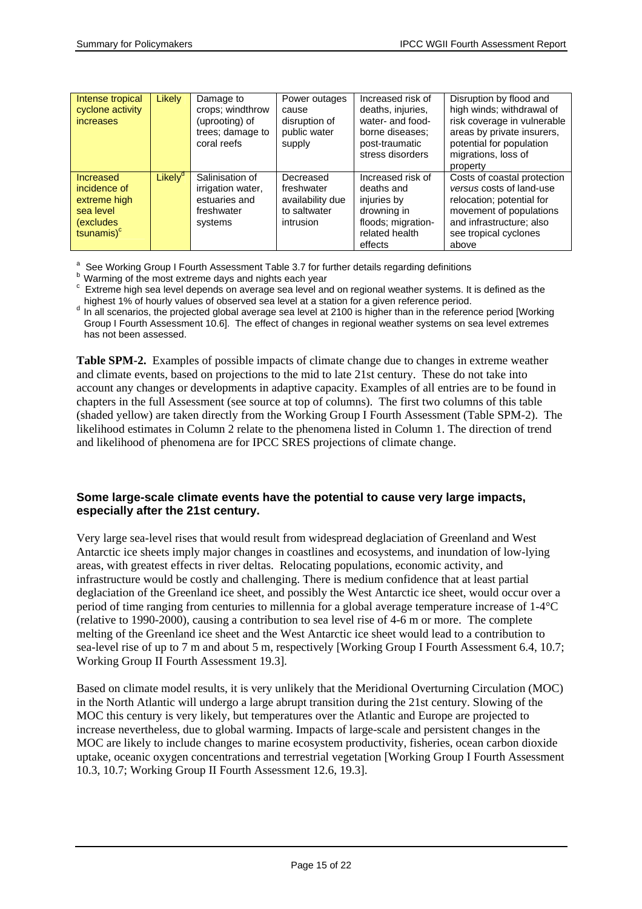| Intense tropical<br>cyclone activity<br>increases                                         | Likely     | Damage to<br>crops; windthrow<br>(uprooting) of<br>trees; damage to<br>coral reefs | Power outages<br>cause<br>disruption of<br>public water<br>supply        | Increased risk of<br>deaths, injuries,<br>water- and food-<br>borne diseases;<br>post-traumatic<br>stress disorders | Disruption by flood and<br>high winds; withdrawal of<br>risk coverage in vulnerable<br>areas by private insurers,<br>potential for population<br>migrations, loss of<br>property |
|-------------------------------------------------------------------------------------------|------------|------------------------------------------------------------------------------------|--------------------------------------------------------------------------|---------------------------------------------------------------------------------------------------------------------|----------------------------------------------------------------------------------------------------------------------------------------------------------------------------------|
| Increased<br>incidence of<br>extreme high<br>sea level<br>(excludes)<br>$t$ sunamis $)^c$ | $Likelv^d$ | Salinisation of<br>irrigation water,<br>estuaries and<br>freshwater<br>systems     | Decreased<br>freshwater<br>availability due<br>to saltwater<br>intrusion | Increased risk of<br>deaths and<br>injuries by<br>drowning in<br>floods; migration-<br>related health<br>effects    | Costs of coastal protection<br>versus costs of land-use<br>relocation; potential for<br>movement of populations<br>and infrastructure; also<br>see tropical cyclones<br>above    |

<sup>a</sup> See Working Group I Fourth Assessment Table 3.7 for further details regarding definitions b<br>b Warming of the most extreme days and nights each year company of the most extense it.

Extreme high sea level depends on average sea level and on regional weather systems. It is defined as the highest 1% of hourly values of observed sea level at a station for a given reference period.

 $d$  In all scenarios, the projected global average sea level at 2100 is higher than in the reference period [Working Group I Fourth Assessment 10.6]. The effect of changes in regional weather systems on sea level extremes has not been assessed.

**Table SPM-2.** Examples of possible impacts of climate change due to changes in extreme weather and climate events, based on projections to the mid to late 21st century. These do not take into account any changes or developments in adaptive capacity. Examples of all entries are to be found in chapters in the full Assessment (see source at top of columns). The first two columns of this table (shaded yellow) are taken directly from the Working Group I Fourth Assessment (Table SPM-2). The likelihood estimates in Column 2 relate to the phenomena listed in Column 1. The direction of trend and likelihood of phenomena are for IPCC SRES projections of climate change.

## **Some large-scale climate events have the potential to cause very large impacts, especially after the 21st century.**

Very large sea-level rises that would result from widespread deglaciation of Greenland and West Antarctic ice sheets imply major changes in coastlines and ecosystems, and inundation of low-lying areas, with greatest effects in river deltas. Relocating populations, economic activity, and infrastructure would be costly and challenging. There is medium confidence that at least partial deglaciation of the Greenland ice sheet, and possibly the West Antarctic ice sheet, would occur over a period of time ranging from centuries to millennia for a global average temperature increase of 1-4°C (relative to 1990-2000), causing a contribution to sea level rise of 4-6 m or more. The complete melting of the Greenland ice sheet and the West Antarctic ice sheet would lead to a contribution to sea-level rise of up to 7 m and about 5 m, respectively [Working Group I Fourth Assessment 6.4, 10.7; Working Group II Fourth Assessment 19.3].

Based on climate model results, it is very unlikely that the Meridional Overturning Circulation (MOC) in the North Atlantic will undergo a large abrupt transition during the 21st century. Slowing of the MOC this century is very likely, but temperatures over the Atlantic and Europe are projected to increase nevertheless, due to global warming. Impacts of large-scale and persistent changes in the MOC are likely to include changes to marine ecosystem productivity, fisheries, ocean carbon dioxide uptake, oceanic oxygen concentrations and terrestrial vegetation [Working Group I Fourth Assessment 10.3, 10.7; Working Group II Fourth Assessment 12.6, 19.3].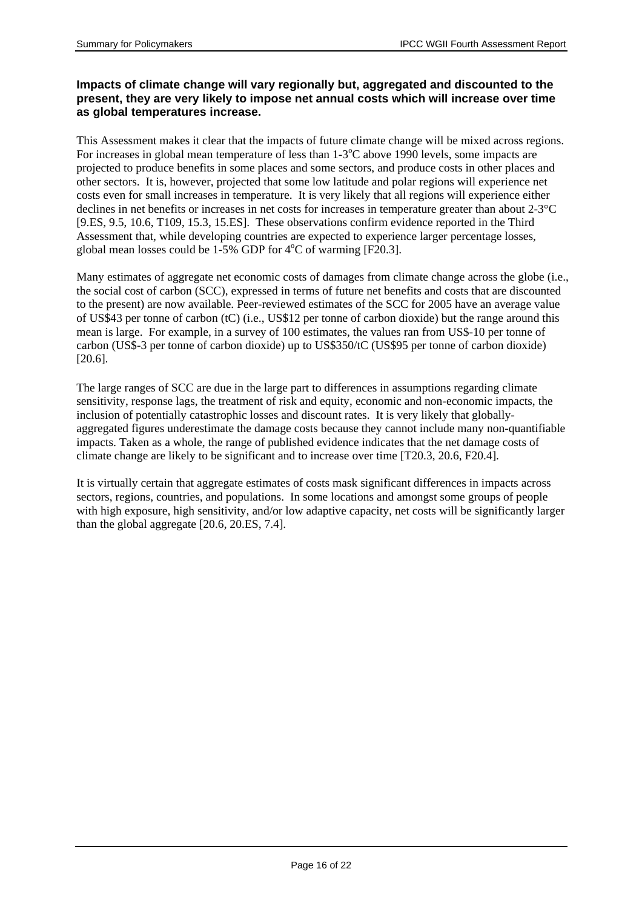## **Impacts of climate change will vary regionally but, aggregated and discounted to the present, they are very likely to impose net annual costs which will increase over time as global temperatures increase.**

This Assessment makes it clear that the impacts of future climate change will be mixed across regions. For increases in global mean temperature of less than 1-3<sup>o</sup>C above 1990 levels, some impacts are projected to produce benefits in some places and some sectors, and produce costs in other places and other sectors. It is, however, projected that some low latitude and polar regions will experience net costs even for small increases in temperature. It is very likely that all regions will experience either declines in net benefits or increases in net costs for increases in temperature greater than about 2-3°C [9.ES, 9.5, 10.6, T109, 15.3, 15.ES]. These observations confirm evidence reported in the Third Assessment that, while developing countries are expected to experience larger percentage losses, global mean losses could be  $1-5\%$  GDP for  $4^{\circ}$ C of warming [F20.3].

Many estimates of aggregate net economic costs of damages from climate change across the globe (i.e., the social cost of carbon (SCC), expressed in terms of future net benefits and costs that are discounted to the present) are now available. Peer-reviewed estimates of the SCC for 2005 have an average value of US\$43 per tonne of carbon (tC) (i.e., US\$12 per tonne of carbon dioxide) but the range around this mean is large. For example, in a survey of 100 estimates, the values ran from US\$-10 per tonne of carbon (US\$-3 per tonne of carbon dioxide) up to US\$350/tC (US\$95 per tonne of carbon dioxide) [20.6].

The large ranges of SCC are due in the large part to differences in assumptions regarding climate sensitivity, response lags, the treatment of risk and equity, economic and non-economic impacts, the inclusion of potentially catastrophic losses and discount rates. It is very likely that globallyaggregated figures underestimate the damage costs because they cannot include many non-quantifiable impacts. Taken as a whole, the range of published evidence indicates that the net damage costs of climate change are likely to be significant and to increase over time [T20.3, 20.6, F20.4].

It is virtually certain that aggregate estimates of costs mask significant differences in impacts across sectors, regions, countries, and populations. In some locations and amongst some groups of people with high exposure, high sensitivity, and/or low adaptive capacity, net costs will be significantly larger than the global aggregate [20.6, 20.ES, 7.4].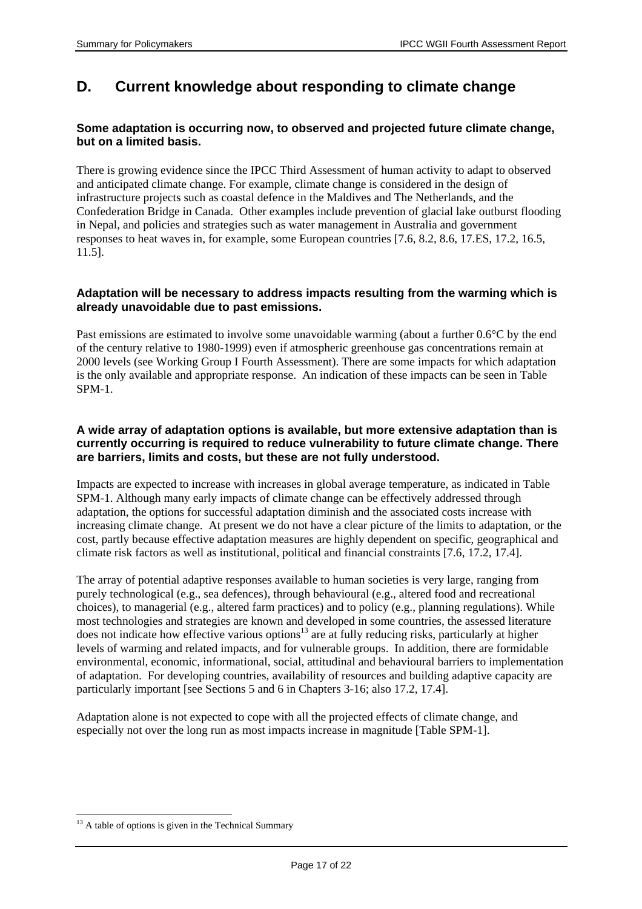# **D. Current knowledge about responding to climate change**

## **Some adaptation is occurring now, to observed and projected future climate change, but on a limited basis.**

There is growing evidence since the IPCC Third Assessment of human activity to adapt to observed and anticipated climate change. For example, climate change is considered in the design of infrastructure projects such as coastal defence in the Maldives and The Netherlands, and the Confederation Bridge in Canada. Other examples include prevention of glacial lake outburst flooding in Nepal, and policies and strategies such as water management in Australia and government responses to heat waves in, for example, some European countries [7.6, 8.2, 8.6, 17.ES, 17.2, 16.5, 11.5].

## **Adaptation will be necessary to address impacts resulting from the warming which is already unavoidable due to past emissions.**

Past emissions are estimated to involve some unavoidable warming (about a further 0.6°C by the end of the century relative to 1980-1999) even if atmospheric greenhouse gas concentrations remain at 2000 levels (see Working Group I Fourth Assessment). There are some impacts for which adaptation is the only available and appropriate response. An indication of these impacts can be seen in Table  $SPM-1$ .

## **A wide array of adaptation options is available, but more extensive adaptation than is currently occurring is required to reduce vulnerability to future climate change. There are barriers, limits and costs, but these are not fully understood.**

Impacts are expected to increase with increases in global average temperature, as indicated in Table SPM-1. Although many early impacts of climate change can be effectively addressed through adaptation, the options for successful adaptation diminish and the associated costs increase with increasing climate change. At present we do not have a clear picture of the limits to adaptation, or the cost, partly because effective adaptation measures are highly dependent on specific, geographical and climate risk factors as well as institutional, political and financial constraints [7.6, 17.2, 17.4].

The array of potential adaptive responses available to human societies is very large, ranging from purely technological (e.g., sea defences), through behavioural (e.g., altered food and recreational choices), to managerial (e.g., altered farm practices) and to policy (e.g., planning regulations). While most technologies and strategies are known and developed in some countries, the assessed literature does not indicate how effective various options<sup>13</sup> are at fully reducing risks, particularly at higher levels of warming and related impacts, and for vulnerable groups. In addition, there are formidable environmental, economic, informational, social, attitudinal and behavioural barriers to implementation of adaptation. For developing countries, availability of resources and building adaptive capacity are particularly important [see Sections 5 and 6 in Chapters 3-16; also 17.2, 17.4].

Adaptation alone is not expected to cope with all the projected effects of climate change, and especially not over the long run as most impacts increase in magnitude [Table SPM-1].

 $\overline{a}$ 

 $13$  A table of options is given in the Technical Summary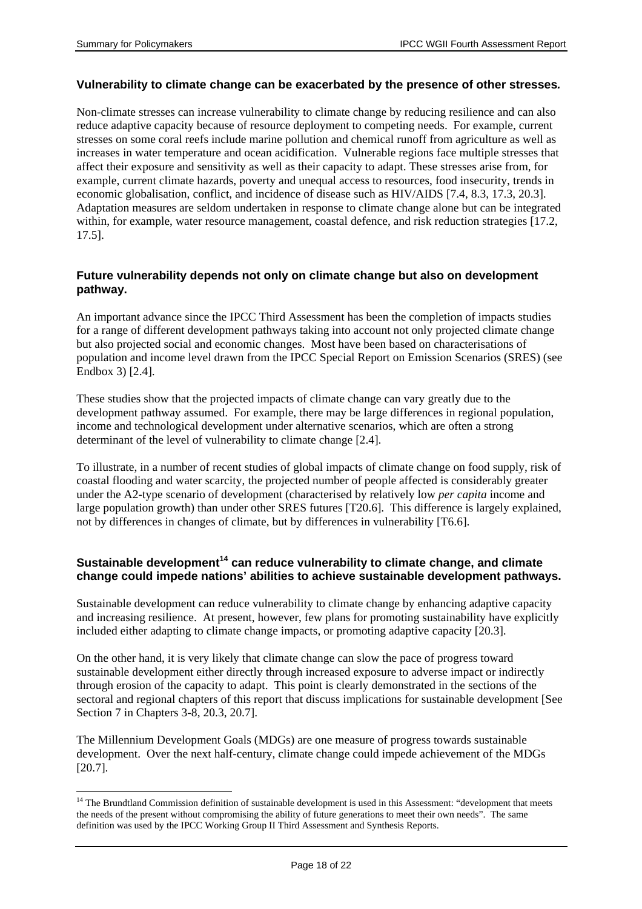$\overline{a}$ 

#### **Vulnerability to climate change can be exacerbated by the presence of other stresses***.*

Non-climate stresses can increase vulnerability to climate change by reducing resilience and can also reduce adaptive capacity because of resource deployment to competing needs. For example, current stresses on some coral reefs include marine pollution and chemical runoff from agriculture as well as increases in water temperature and ocean acidification. Vulnerable regions face multiple stresses that affect their exposure and sensitivity as well as their capacity to adapt. These stresses arise from, for example, current climate hazards, poverty and unequal access to resources, food insecurity, trends in economic globalisation, conflict, and incidence of disease such as HIV/AIDS [7.4, 8.3, 17.3, 20.3]. Adaptation measures are seldom undertaken in response to climate change alone but can be integrated within, for example, water resource management, coastal defence, and risk reduction strategies [17.2,] 17.5].

## **Future vulnerability depends not only on climate change but also on development pathway.**

An important advance since the IPCC Third Assessment has been the completion of impacts studies for a range of different development pathways taking into account not only projected climate change but also projected social and economic changes. Most have been based on characterisations of population and income level drawn from the IPCC Special Report on Emission Scenarios (SRES) (see Endbox 3) [2.4].

These studies show that the projected impacts of climate change can vary greatly due to the development pathway assumed. For example, there may be large differences in regional population, income and technological development under alternative scenarios, which are often a strong determinant of the level of vulnerability to climate change [2.4].

To illustrate, in a number of recent studies of global impacts of climate change on food supply, risk of coastal flooding and water scarcity, the projected number of people affected is considerably greater under the A2-type scenario of development (characterised by relatively low *per capita* income and large population growth) than under other SRES futures [T20.6]. This difference is largely explained, not by differences in changes of climate, but by differences in vulnerability [T6.6].

## Sustainable development<sup>14</sup> can reduce vulnerability to climate change, and climate **change could impede nations' abilities to achieve sustainable development pathways.**

Sustainable development can reduce vulnerability to climate change by enhancing adaptive capacity and increasing resilience. At present, however, few plans for promoting sustainability have explicitly included either adapting to climate change impacts, or promoting adaptive capacity [20.3].

On the other hand, it is very likely that climate change can slow the pace of progress toward sustainable development either directly through increased exposure to adverse impact or indirectly through erosion of the capacity to adapt. This point is clearly demonstrated in the sections of the sectoral and regional chapters of this report that discuss implications for sustainable development [See Section 7 in Chapters 3-8, 20.3, 20.7].

The Millennium Development Goals (MDGs) are one measure of progress towards sustainable development. Over the next half-century, climate change could impede achievement of the MDGs [20.7].

 $14$  The Brundtland Commission definition of sustainable development is used in this Assessment: "development that meets the needs of the present without compromising the ability of future generations to meet their own needs". The same definition was used by the IPCC Working Group II Third Assessment and Synthesis Reports.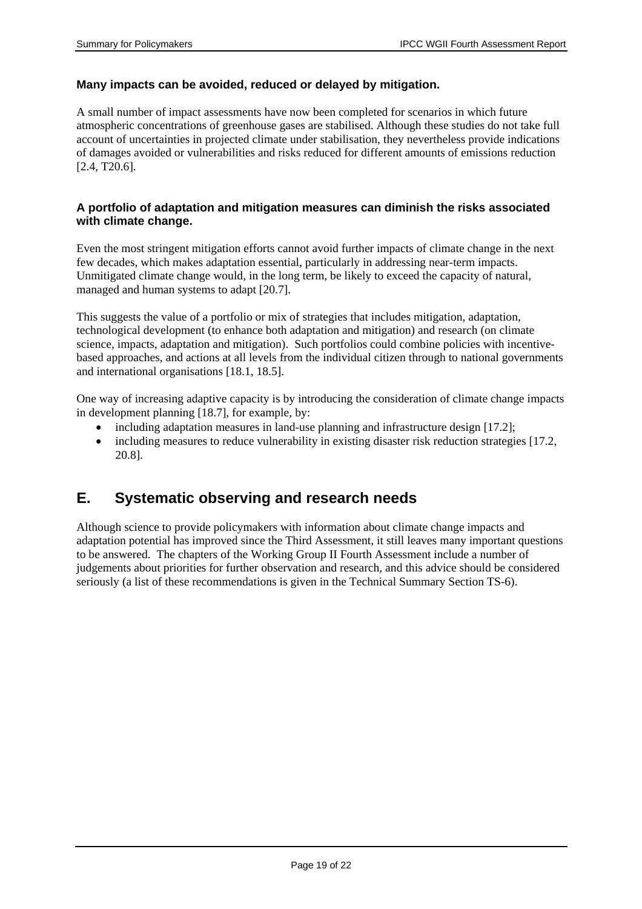## **Many impacts can be avoided, reduced or delayed by mitigation.**

A small number of impact assessments have now been completed for scenarios in which future atmospheric concentrations of greenhouse gases are stabilised. Although these studies do not take full account of uncertainties in projected climate under stabilisation, they nevertheless provide indications of damages avoided or vulnerabilities and risks reduced for different amounts of emissions reduction [2.4, T20.6].

## **A portfolio of adaptation and mitigation measures can diminish the risks associated with climate change.**

Even the most stringent mitigation efforts cannot avoid further impacts of climate change in the next few decades, which makes adaptation essential, particularly in addressing near-term impacts. Unmitigated climate change would, in the long term, be likely to exceed the capacity of natural, managed and human systems to adapt [20.7].

This suggests the value of a portfolio or mix of strategies that includes mitigation, adaptation, technological development (to enhance both adaptation and mitigation) and research (on climate science, impacts, adaptation and mitigation). Such portfolios could combine policies with incentivebased approaches, and actions at all levels from the individual citizen through to national governments and international organisations [18.1, 18.5].

One way of increasing adaptive capacity is by introducing the consideration of climate change impacts in development planning [18.7], for example, by:

- including adaptation measures in land-use planning and infrastructure design [17.2];
- including measures to reduce vulnerability in existing disaster risk reduction strategies [17.2, 20.8].

# **E. Systematic observing and research needs**

Although science to provide policymakers with information about climate change impacts and adaptation potential has improved since the Third Assessment, it still leaves many important questions to be answered. The chapters of the Working Group II Fourth Assessment include a number of judgements about priorities for further observation and research, and this advice should be considered seriously (a list of these recommendations is given in the Technical Summary Section TS-6).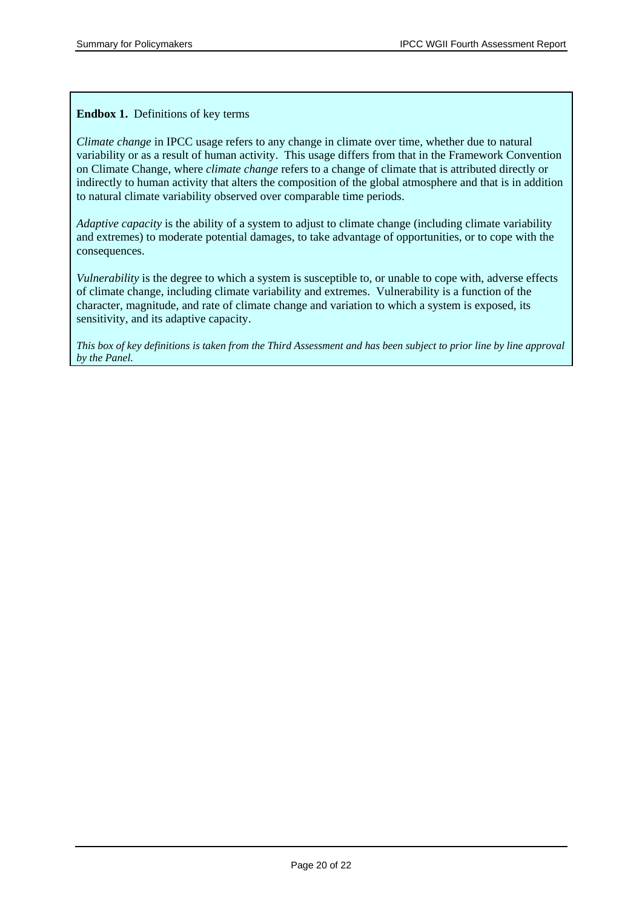**Endbox 1.** Definitions of key terms

*Climate change* in IPCC usage refers to any change in climate over time, whether due to natural variability or as a result of human activity. This usage differs from that in the Framework Convention on Climate Change, where *climate change* refers to a change of climate that is attributed directly or indirectly to human activity that alters the composition of the global atmosphere and that is in addition to natural climate variability observed over comparable time periods.

*Adaptive capacity* is the ability of a system to adjust to climate change (including climate variability and extremes) to moderate potential damages, to take advantage of opportunities, or to cope with the consequences.

*Vulnerability* is the degree to which a system is susceptible to, or unable to cope with, adverse effects of climate change, including climate variability and extremes. Vulnerability is a function of the character, magnitude, and rate of climate change and variation to which a system is exposed, its sensitivity, and its adaptive capacity.

*This box of key definitions is taken from the Third Assessment and has been subject to prior line by line approval by the Panel.*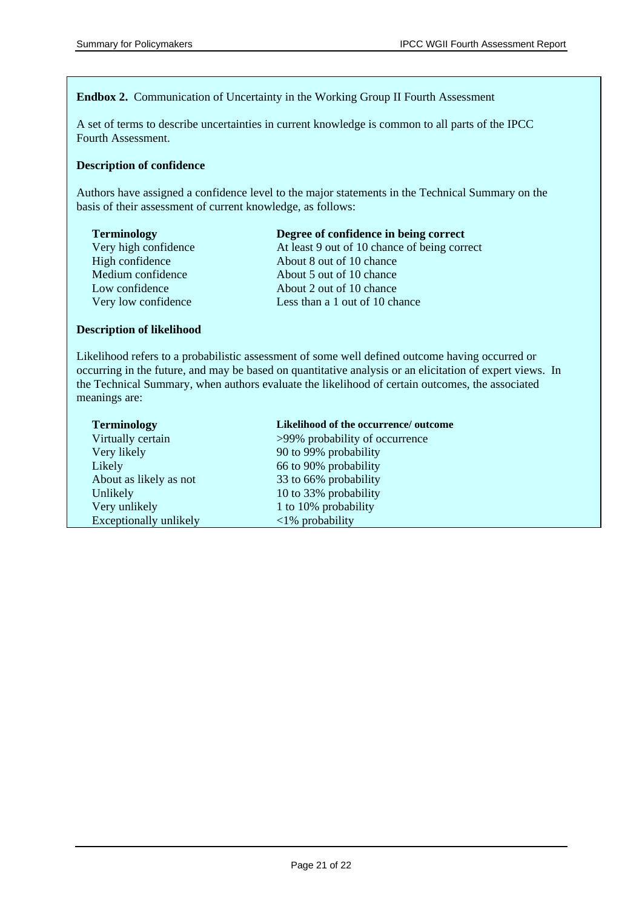## **Endbox 2.** Communication of Uncertainty in the Working Group II Fourth Assessment

A set of terms to describe uncertainties in current knowledge is common to all parts of the IPCC Fourth Assessment.

#### **Description of confidence**

Authors have assigned a confidence level to the major statements in the Technical Summary on the basis of their assessment of current knowledge, as follows:

| <b>Terminology</b>   | Degree of confidence in being correct        |
|----------------------|----------------------------------------------|
| Very high confidence | At least 9 out of 10 chance of being correct |
| High confidence      | About 8 out of 10 chance                     |
| Medium confidence    | About 5 out of 10 chance                     |
| Low confidence       | About 2 out of 10 chance                     |
| Very low confidence  | Less than a 1 out of 10 chance               |

#### **Description of likelihood**

Likelihood refers to a probabilistic assessment of some well defined outcome having occurred or occurring in the future, and may be based on quantitative analysis or an elicitation of expert views. In the Technical Summary, when authors evaluate the likelihood of certain outcomes, the associated meanings are:

| <b>Terminology</b>     | Likelihood of the occurrence/outcome |
|------------------------|--------------------------------------|
| Virtually certain      | >99% probability of occurrence       |
| Very likely            | 90 to 99% probability                |
| Likely                 | 66 to 90% probability                |
| About as likely as not | 33 to 66% probability                |
| Unlikely               | 10 to 33% probability                |
| Very unlikely          | 1 to 10% probability                 |
| Exceptionally unlikely | $\langle 1\%$ probability            |